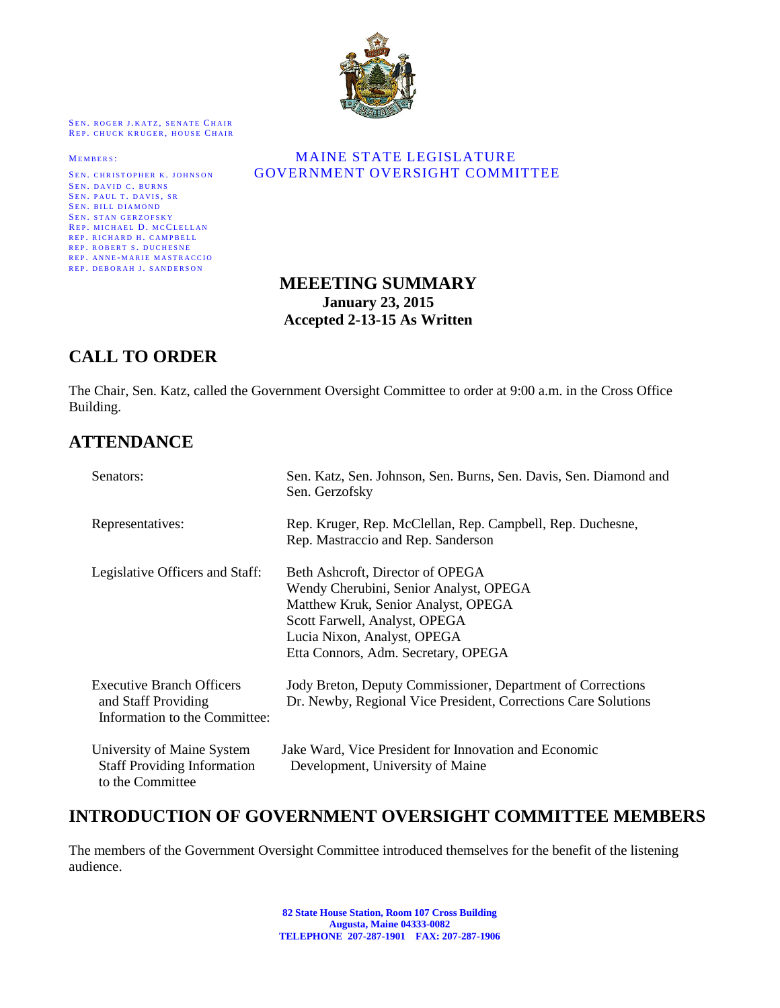

SEN. ROGER J.KATZ, SENATE CHAIR REP. CHUCK KRUGER, HOUSE CHAIR

SEN. DAVID C. BURNS SEN. PAUL T. DAVIS, SR SEN. BILL DIAMOND SEN. STAN GERZOFSKY REP. MICHAEL D. MCCLELLAN REP. RICHARD H. CAMPBELL REP. ROBERT S. DUCHESNE REP. ANNE-MARIE MASTRACCIO REP. DEBORAH J. SANDERSON

#### MEMBERS: MAINE STATE LEGISLATURE SEN. CHRISTOPHER K. JOHNSON **GOVERNMENT OVERSIGHT COMMITTEE**

## **MEEETING SUMMARY January 23, 2015 Accepted 2-13-15 As Written**

# **CALL TO ORDER**

The Chair, Sen. Katz, called the Government Oversight Committee to order at 9:00 a.m. in the Cross Office Building.

## **ATTENDANCE**

| Senators:                                                                                | Sen. Katz, Sen. Johnson, Sen. Burns, Sen. Davis, Sen. Diamond and<br>Sen. Gerzofsky                                                                                                                                      |
|------------------------------------------------------------------------------------------|--------------------------------------------------------------------------------------------------------------------------------------------------------------------------------------------------------------------------|
| Representatives:                                                                         | Rep. Kruger, Rep. McClellan, Rep. Campbell, Rep. Duchesne,<br>Rep. Mastraccio and Rep. Sanderson                                                                                                                         |
| Legislative Officers and Staff:                                                          | Beth Ashcroft, Director of OPEGA<br>Wendy Cherubini, Senior Analyst, OPEGA<br>Matthew Kruk, Senior Analyst, OPEGA<br>Scott Farwell, Analyst, OPEGA<br>Lucia Nixon, Analyst, OPEGA<br>Etta Connors, Adm. Secretary, OPEGA |
| <b>Executive Branch Officers</b><br>and Staff Providing<br>Information to the Committee: | Jody Breton, Deputy Commissioner, Department of Corrections<br>Dr. Newby, Regional Vice President, Corrections Care Solutions                                                                                            |
| University of Maine System<br><b>Staff Providing Information</b><br>to the Committee     | Jake Ward, Vice President for Innovation and Economic<br>Development, University of Maine                                                                                                                                |

# **INTRODUCTION OF GOVERNMENT OVERSIGHT COMMITTEE MEMBERS**

The members of the Government Oversight Committee introduced themselves for the benefit of the listening audience.

> **82 State House Station, Room 107 Cross Building Augusta, Maine 04333-0082 TELEPHONE 207-287-1901 FAX: 207-287-1906**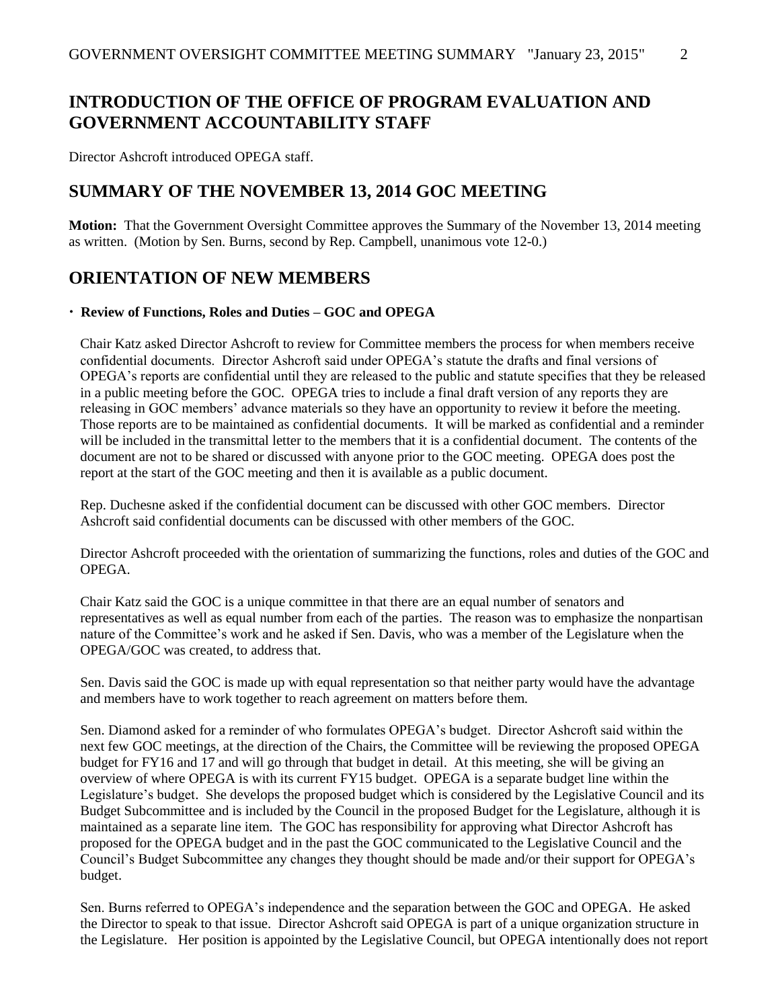# **INTRODUCTION OF THE OFFICE OF PROGRAM EVALUATION AND GOVERNMENT ACCOUNTABILITY STAFF**

Director Ashcroft introduced OPEGA staff.

# **SUMMARY OF THE NOVEMBER 13, 2014 GOC MEETING**

**Motion:** That the Government Oversight Committee approves the Summary of the November 13, 2014 meeting as written. (Motion by Sen. Burns, second by Rep. Campbell, unanimous vote 12-0.)

### **ORIENTATION OF NEW MEMBERS**

#### **Review of Functions, Roles and Duties – GOC and OPEGA**

Chair Katz asked Director Ashcroft to review for Committee members the process for when members receive confidential documents. Director Ashcroft said under OPEGA's statute the drafts and final versions of OPEGA's reports are confidential until they are released to the public and statute specifies that they be released in a public meeting before the GOC. OPEGA tries to include a final draft version of any reports they are releasing in GOC members' advance materials so they have an opportunity to review it before the meeting. Those reports are to be maintained as confidential documents. It will be marked as confidential and a reminder will be included in the transmittal letter to the members that it is a confidential document. The contents of the document are not to be shared or discussed with anyone prior to the GOC meeting. OPEGA does post the report at the start of the GOC meeting and then it is available as a public document.

Rep. Duchesne asked if the confidential document can be discussed with other GOC members. Director Ashcroft said confidential documents can be discussed with other members of the GOC.

Director Ashcroft proceeded with the orientation of summarizing the functions, roles and duties of the GOC and OPEGA.

Chair Katz said the GOC is a unique committee in that there are an equal number of senators and representatives as well as equal number from each of the parties. The reason was to emphasize the nonpartisan nature of the Committee's work and he asked if Sen. Davis, who was a member of the Legislature when the OPEGA/GOC was created, to address that.

Sen. Davis said the GOC is made up with equal representation so that neither party would have the advantage and members have to work together to reach agreement on matters before them.

Sen. Diamond asked for a reminder of who formulates OPEGA's budget. Director Ashcroft said within the next few GOC meetings, at the direction of the Chairs, the Committee will be reviewing the proposed OPEGA budget for FY16 and 17 and will go through that budget in detail. At this meeting, she will be giving an overview of where OPEGA is with its current FY15 budget. OPEGA is a separate budget line within the Legislature's budget. She develops the proposed budget which is considered by the Legislative Council and its Budget Subcommittee and is included by the Council in the proposed Budget for the Legislature, although it is maintained as a separate line item. The GOC has responsibility for approving what Director Ashcroft has proposed for the OPEGA budget and in the past the GOC communicated to the Legislative Council and the Council's Budget Subcommittee any changes they thought should be made and/or their support for OPEGA's budget.

Sen. Burns referred to OPEGA's independence and the separation between the GOC and OPEGA. He asked the Director to speak to that issue. Director Ashcroft said OPEGA is part of a unique organization structure in the Legislature. Her position is appointed by the Legislative Council, but OPEGA intentionally does not report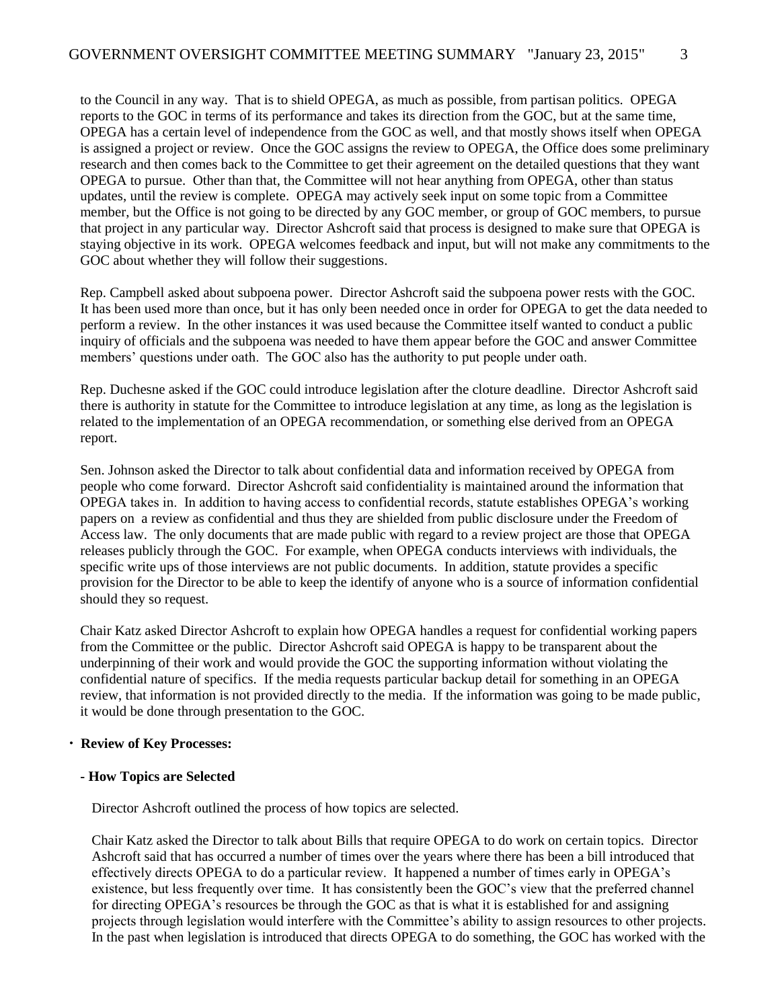to the Council in any way. That is to shield OPEGA, as much as possible, from partisan politics. OPEGA reports to the GOC in terms of its performance and takes its direction from the GOC, but at the same time, OPEGA has a certain level of independence from the GOC as well, and that mostly shows itself when OPEGA is assigned a project or review. Once the GOC assigns the review to OPEGA, the Office does some preliminary research and then comes back to the Committee to get their agreement on the detailed questions that they want OPEGA to pursue. Other than that, the Committee will not hear anything from OPEGA, other than status updates, until the review is complete. OPEGA may actively seek input on some topic from a Committee member, but the Office is not going to be directed by any GOC member, or group of GOC members, to pursue that project in any particular way. Director Ashcroft said that process is designed to make sure that OPEGA is staying objective in its work. OPEGA welcomes feedback and input, but will not make any commitments to the GOC about whether they will follow their suggestions.

Rep. Campbell asked about subpoena power. Director Ashcroft said the subpoena power rests with the GOC. It has been used more than once, but it has only been needed once in order for OPEGA to get the data needed to perform a review. In the other instances it was used because the Committee itself wanted to conduct a public inquiry of officials and the subpoena was needed to have them appear before the GOC and answer Committee members' questions under oath. The GOC also has the authority to put people under oath.

Rep. Duchesne asked if the GOC could introduce legislation after the cloture deadline. Director Ashcroft said there is authority in statute for the Committee to introduce legislation at any time, as long as the legislation is related to the implementation of an OPEGA recommendation, or something else derived from an OPEGA report.

Sen. Johnson asked the Director to talk about confidential data and information received by OPEGA from people who come forward. Director Ashcroft said confidentiality is maintained around the information that OPEGA takes in. In addition to having access to confidential records, statute establishes OPEGA's working papers on a review as confidential and thus they are shielded from public disclosure under the Freedom of Access law. The only documents that are made public with regard to a review project are those that OPEGA releases publicly through the GOC. For example, when OPEGA conducts interviews with individuals, the specific write ups of those interviews are not public documents. In addition, statute provides a specific provision for the Director to be able to keep the identify of anyone who is a source of information confidential should they so request.

Chair Katz asked Director Ashcroft to explain how OPEGA handles a request for confidential working papers from the Committee or the public. Director Ashcroft said OPEGA is happy to be transparent about the underpinning of their work and would provide the GOC the supporting information without violating the confidential nature of specifics. If the media requests particular backup detail for something in an OPEGA review, that information is not provided directly to the media. If the information was going to be made public, it would be done through presentation to the GOC.

#### **Review of Key Processes:**

#### **- How Topics are Selected**

Director Ashcroft outlined the process of how topics are selected.

Chair Katz asked the Director to talk about Bills that require OPEGA to do work on certain topics. Director Ashcroft said that has occurred a number of times over the years where there has been a bill introduced that effectively directs OPEGA to do a particular review. It happened a number of times early in OPEGA's existence, but less frequently over time. It has consistently been the GOC's view that the preferred channel for directing OPEGA's resources be through the GOC as that is what it is established for and assigning projects through legislation would interfere with the Committee's ability to assign resources to other projects. In the past when legislation is introduced that directs OPEGA to do something, the GOC has worked with the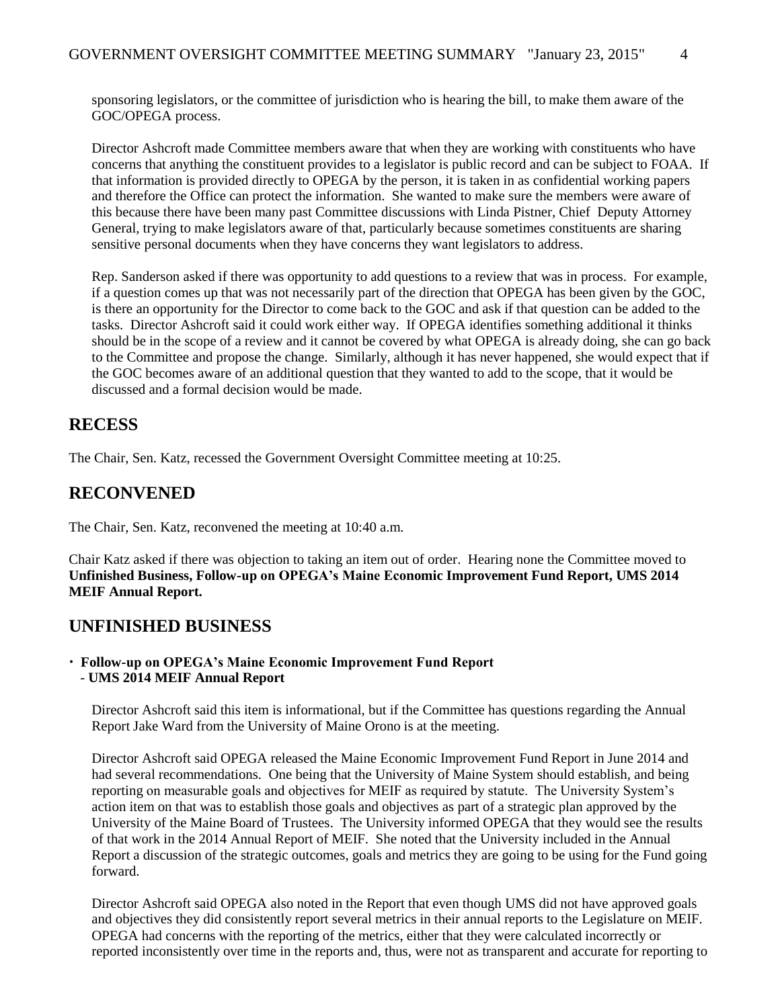sponsoring legislators, or the committee of jurisdiction who is hearing the bill, to make them aware of the GOC/OPEGA process.

Director Ashcroft made Committee members aware that when they are working with constituents who have concerns that anything the constituent provides to a legislator is public record and can be subject to FOAA. If that information is provided directly to OPEGA by the person, it is taken in as confidential working papers and therefore the Office can protect the information. She wanted to make sure the members were aware of this because there have been many past Committee discussions with Linda Pistner, Chief Deputy Attorney General, trying to make legislators aware of that, particularly because sometimes constituents are sharing sensitive personal documents when they have concerns they want legislators to address.

Rep. Sanderson asked if there was opportunity to add questions to a review that was in process. For example, if a question comes up that was not necessarily part of the direction that OPEGA has been given by the GOC, is there an opportunity for the Director to come back to the GOC and ask if that question can be added to the tasks. Director Ashcroft said it could work either way. If OPEGA identifies something additional it thinks should be in the scope of a review and it cannot be covered by what OPEGA is already doing, she can go back to the Committee and propose the change. Similarly, although it has never happened, she would expect that if the GOC becomes aware of an additional question that they wanted to add to the scope, that it would be discussed and a formal decision would be made.

## **RECESS**

The Chair, Sen. Katz, recessed the Government Oversight Committee meeting at 10:25.

### **RECONVENED**

The Chair, Sen. Katz, reconvened the meeting at 10:40 a.m.

Chair Katz asked if there was objection to taking an item out of order. Hearing none the Committee moved to **Unfinished Business, Follow-up on OPEGA's Maine Economic Improvement Fund Report, UMS 2014 MEIF Annual Report.**

### **UNFINISHED BUSINESS**

 **Follow-up on OPEGA's Maine Economic Improvement Fund Report** - **UMS 2014 MEIF Annual Report**

Director Ashcroft said this item is informational, but if the Committee has questions regarding the Annual Report Jake Ward from the University of Maine Orono is at the meeting.

Director Ashcroft said OPEGA released the Maine Economic Improvement Fund Report in June 2014 and had several recommendations. One being that the University of Maine System should establish, and being reporting on measurable goals and objectives for MEIF as required by statute. The University System's action item on that was to establish those goals and objectives as part of a strategic plan approved by the University of the Maine Board of Trustees. The University informed OPEGA that they would see the results of that work in the 2014 Annual Report of MEIF. She noted that the University included in the Annual Report a discussion of the strategic outcomes, goals and metrics they are going to be using for the Fund going forward.

Director Ashcroft said OPEGA also noted in the Report that even though UMS did not have approved goals and objectives they did consistently report several metrics in their annual reports to the Legislature on MEIF. OPEGA had concerns with the reporting of the metrics, either that they were calculated incorrectly or reported inconsistently over time in the reports and, thus, were not as transparent and accurate for reporting to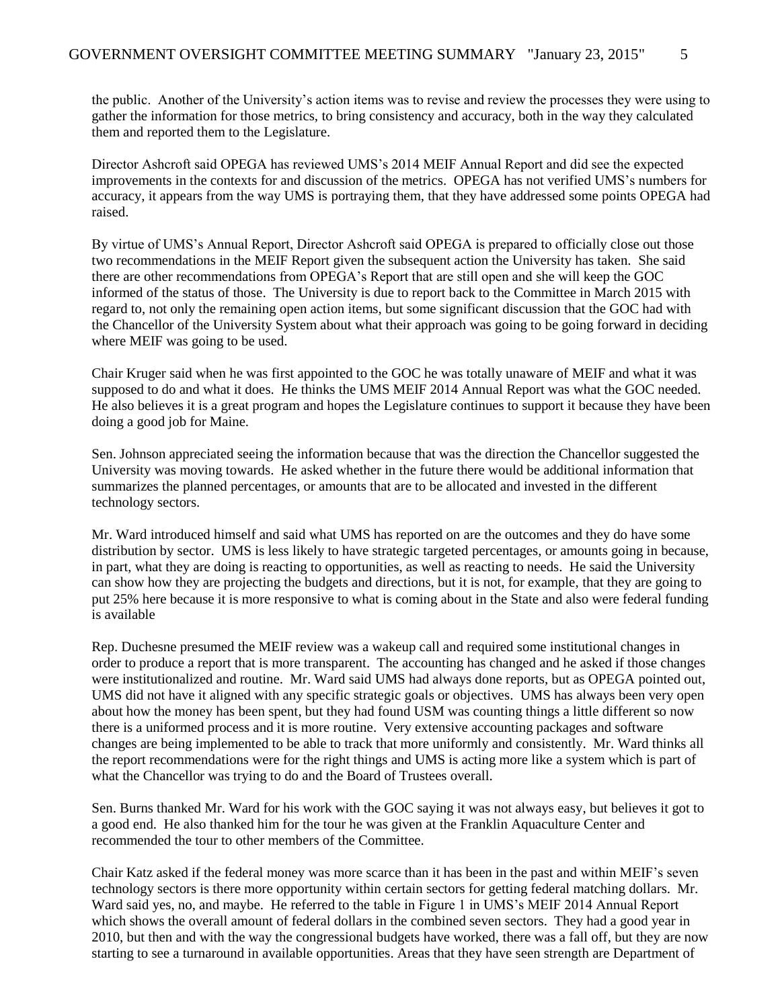the public. Another of the University's action items was to revise and review the processes they were using to gather the information for those metrics, to bring consistency and accuracy, both in the way they calculated them and reported them to the Legislature.

Director Ashcroft said OPEGA has reviewed UMS's 2014 MEIF Annual Report and did see the expected improvements in the contexts for and discussion of the metrics. OPEGA has not verified UMS's numbers for accuracy, it appears from the way UMS is portraying them, that they have addressed some points OPEGA had raised.

By virtue of UMS's Annual Report, Director Ashcroft said OPEGA is prepared to officially close out those two recommendations in the MEIF Report given the subsequent action the University has taken. She said there are other recommendations from OPEGA's Report that are still open and she will keep the GOC informed of the status of those. The University is due to report back to the Committee in March 2015 with regard to, not only the remaining open action items, but some significant discussion that the GOC had with the Chancellor of the University System about what their approach was going to be going forward in deciding where MEIF was going to be used.

Chair Kruger said when he was first appointed to the GOC he was totally unaware of MEIF and what it was supposed to do and what it does. He thinks the UMS MEIF 2014 Annual Report was what the GOC needed. He also believes it is a great program and hopes the Legislature continues to support it because they have been doing a good job for Maine.

Sen. Johnson appreciated seeing the information because that was the direction the Chancellor suggested the University was moving towards. He asked whether in the future there would be additional information that summarizes the planned percentages, or amounts that are to be allocated and invested in the different technology sectors.

Mr. Ward introduced himself and said what UMS has reported on are the outcomes and they do have some distribution by sector. UMS is less likely to have strategic targeted percentages, or amounts going in because, in part, what they are doing is reacting to opportunities, as well as reacting to needs. He said the University can show how they are projecting the budgets and directions, but it is not, for example, that they are going to put 25% here because it is more responsive to what is coming about in the State and also were federal funding is available

Rep. Duchesne presumed the MEIF review was a wakeup call and required some institutional changes in order to produce a report that is more transparent. The accounting has changed and he asked if those changes were institutionalized and routine. Mr. Ward said UMS had always done reports, but as OPEGA pointed out, UMS did not have it aligned with any specific strategic goals or objectives. UMS has always been very open about how the money has been spent, but they had found USM was counting things a little different so now there is a uniformed process and it is more routine. Very extensive accounting packages and software changes are being implemented to be able to track that more uniformly and consistently. Mr. Ward thinks all the report recommendations were for the right things and UMS is acting more like a system which is part of what the Chancellor was trying to do and the Board of Trustees overall.

Sen. Burns thanked Mr. Ward for his work with the GOC saying it was not always easy, but believes it got to a good end. He also thanked him for the tour he was given at the Franklin Aquaculture Center and recommended the tour to other members of the Committee.

Chair Katz asked if the federal money was more scarce than it has been in the past and within MEIF's seven technology sectors is there more opportunity within certain sectors for getting federal matching dollars. Mr. Ward said yes, no, and maybe. He referred to the table in Figure 1 in UMS's MEIF 2014 Annual Report which shows the overall amount of federal dollars in the combined seven sectors. They had a good year in 2010, but then and with the way the congressional budgets have worked, there was a fall off, but they are now starting to see a turnaround in available opportunities. Areas that they have seen strength are Department of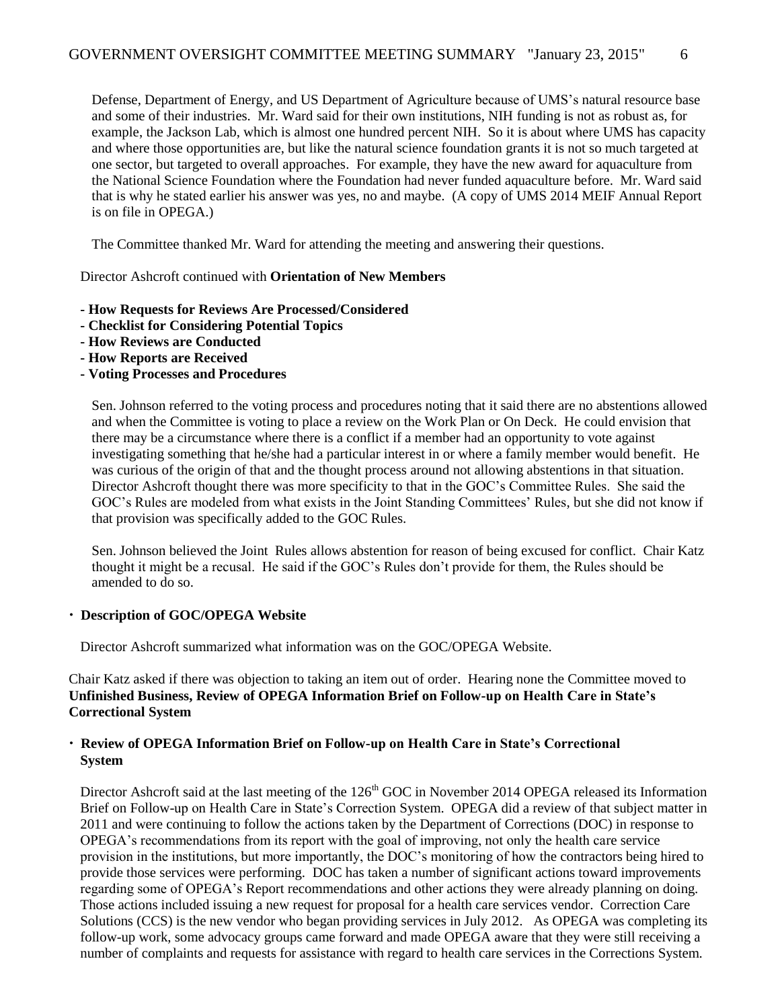Defense, Department of Energy, and US Department of Agriculture because of UMS's natural resource base and some of their industries. Mr. Ward said for their own institutions, NIH funding is not as robust as, for example, the Jackson Lab, which is almost one hundred percent NIH. So it is about where UMS has capacity and where those opportunities are, but like the natural science foundation grants it is not so much targeted at one sector, but targeted to overall approaches. For example, they have the new award for aquaculture from the National Science Foundation where the Foundation had never funded aquaculture before. Mr. Ward said that is why he stated earlier his answer was yes, no and maybe. (A copy of UMS 2014 MEIF Annual Report is on file in OPEGA.)

The Committee thanked Mr. Ward for attending the meeting and answering their questions.

Director Ashcroft continued with **Orientation of New Members**

- **- How Requests for Reviews Are Processed/Considered**
- **- Checklist for Considering Potential Topics**
- **- How Reviews are Conducted**
- **- How Reports are Received**
- **- Voting Processes and Procedures**

Sen. Johnson referred to the voting process and procedures noting that it said there are no abstentions allowed and when the Committee is voting to place a review on the Work Plan or On Deck. He could envision that there may be a circumstance where there is a conflict if a member had an opportunity to vote against investigating something that he/she had a particular interest in or where a family member would benefit. He was curious of the origin of that and the thought process around not allowing abstentions in that situation. Director Ashcroft thought there was more specificity to that in the GOC's Committee Rules. She said the GOC's Rules are modeled from what exists in the Joint Standing Committees' Rules, but she did not know if that provision was specifically added to the GOC Rules.

Sen. Johnson believed the Joint Rules allows abstention for reason of being excused for conflict. Chair Katz thought it might be a recusal. He said if the GOC's Rules don't provide for them, the Rules should be amended to do so.

#### **Description of GOC/OPEGA Website**

Director Ashcroft summarized what information was on the GOC/OPEGA Website.

Chair Katz asked if there was objection to taking an item out of order. Hearing none the Committee moved to **Unfinished Business, Review of OPEGA Information Brief on Follow-up on Health Care in State's Correctional System**

#### **Review of OPEGA Information Brief on Follow-up on Health Care in State's Correctional System**

Director Ashcroft said at the last meeting of the 126<sup>th</sup> GOC in November 2014 OPEGA released its Information Brief on Follow-up on Health Care in State's Correction System. OPEGA did a review of that subject matter in 2011 and were continuing to follow the actions taken by the Department of Corrections (DOC) in response to OPEGA's recommendations from its report with the goal of improving, not only the health care service provision in the institutions, but more importantly, the DOC's monitoring of how the contractors being hired to provide those services were performing. DOC has taken a number of significant actions toward improvements regarding some of OPEGA's Report recommendations and other actions they were already planning on doing. Those actions included issuing a new request for proposal for a health care services vendor. Correction Care Solutions (CCS) is the new vendor who began providing services in July 2012. As OPEGA was completing its follow-up work, some advocacy groups came forward and made OPEGA aware that they were still receiving a number of complaints and requests for assistance with regard to health care services in the Corrections System.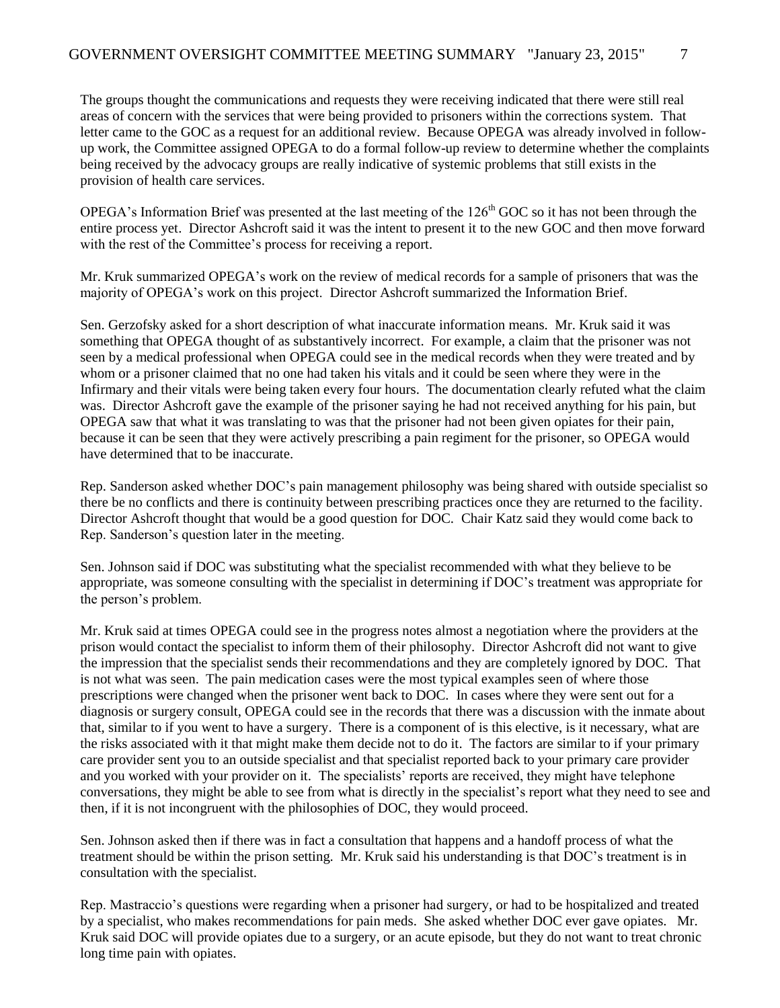The groups thought the communications and requests they were receiving indicated that there were still real areas of concern with the services that were being provided to prisoners within the corrections system. That letter came to the GOC as a request for an additional review. Because OPEGA was already involved in followup work, the Committee assigned OPEGA to do a formal follow-up review to determine whether the complaints being received by the advocacy groups are really indicative of systemic problems that still exists in the provision of health care services.

OPEGA's Information Brief was presented at the last meeting of the  $126<sup>th</sup>$  GOC so it has not been through the entire process yet. Director Ashcroft said it was the intent to present it to the new GOC and then move forward with the rest of the Committee's process for receiving a report.

Mr. Kruk summarized OPEGA's work on the review of medical records for a sample of prisoners that was the majority of OPEGA's work on this project. Director Ashcroft summarized the Information Brief.

Sen. Gerzofsky asked for a short description of what inaccurate information means. Mr. Kruk said it was something that OPEGA thought of as substantively incorrect. For example, a claim that the prisoner was not seen by a medical professional when OPEGA could see in the medical records when they were treated and by whom or a prisoner claimed that no one had taken his vitals and it could be seen where they were in the Infirmary and their vitals were being taken every four hours. The documentation clearly refuted what the claim was. Director Ashcroft gave the example of the prisoner saying he had not received anything for his pain, but OPEGA saw that what it was translating to was that the prisoner had not been given opiates for their pain, because it can be seen that they were actively prescribing a pain regiment for the prisoner, so OPEGA would have determined that to be inaccurate.

Rep. Sanderson asked whether DOC's pain management philosophy was being shared with outside specialist so there be no conflicts and there is continuity between prescribing practices once they are returned to the facility. Director Ashcroft thought that would be a good question for DOC. Chair Katz said they would come back to Rep. Sanderson's question later in the meeting.

Sen. Johnson said if DOC was substituting what the specialist recommended with what they believe to be appropriate, was someone consulting with the specialist in determining if DOC's treatment was appropriate for the person's problem.

Mr. Kruk said at times OPEGA could see in the progress notes almost a negotiation where the providers at the prison would contact the specialist to inform them of their philosophy. Director Ashcroft did not want to give the impression that the specialist sends their recommendations and they are completely ignored by DOC. That is not what was seen. The pain medication cases were the most typical examples seen of where those prescriptions were changed when the prisoner went back to DOC. In cases where they were sent out for a diagnosis or surgery consult, OPEGA could see in the records that there was a discussion with the inmate about that, similar to if you went to have a surgery. There is a component of is this elective, is it necessary, what are the risks associated with it that might make them decide not to do it. The factors are similar to if your primary care provider sent you to an outside specialist and that specialist reported back to your primary care provider and you worked with your provider on it. The specialists' reports are received, they might have telephone conversations, they might be able to see from what is directly in the specialist's report what they need to see and then, if it is not incongruent with the philosophies of DOC, they would proceed.

Sen. Johnson asked then if there was in fact a consultation that happens and a handoff process of what the treatment should be within the prison setting. Mr. Kruk said his understanding is that DOC's treatment is in consultation with the specialist.

Rep. Mastraccio's questions were regarding when a prisoner had surgery, or had to be hospitalized and treated by a specialist, who makes recommendations for pain meds. She asked whether DOC ever gave opiates. Mr. Kruk said DOC will provide opiates due to a surgery, or an acute episode, but they do not want to treat chronic long time pain with opiates.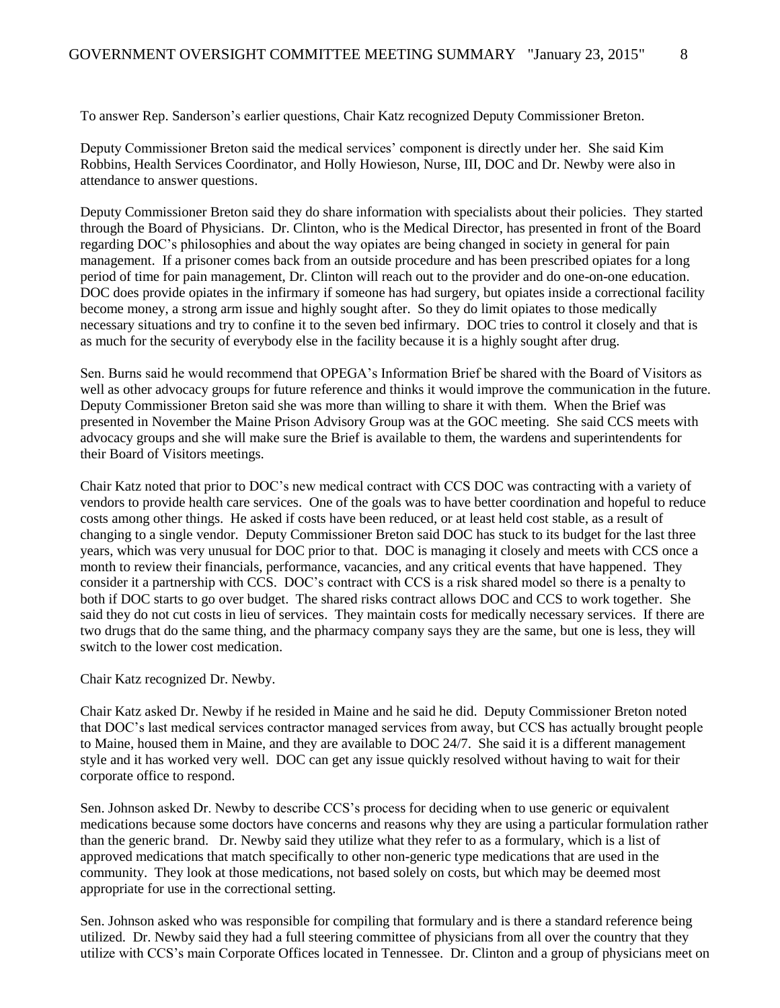To answer Rep. Sanderson's earlier questions, Chair Katz recognized Deputy Commissioner Breton.

Deputy Commissioner Breton said the medical services' component is directly under her. She said Kim Robbins, Health Services Coordinator, and Holly Howieson, Nurse, III, DOC and Dr. Newby were also in attendance to answer questions.

Deputy Commissioner Breton said they do share information with specialists about their policies. They started through the Board of Physicians. Dr. Clinton, who is the Medical Director, has presented in front of the Board regarding DOC's philosophies and about the way opiates are being changed in society in general for pain management. If a prisoner comes back from an outside procedure and has been prescribed opiates for a long period of time for pain management, Dr. Clinton will reach out to the provider and do one-on-one education. DOC does provide opiates in the infirmary if someone has had surgery, but opiates inside a correctional facility become money, a strong arm issue and highly sought after. So they do limit opiates to those medically necessary situations and try to confine it to the seven bed infirmary. DOC tries to control it closely and that is as much for the security of everybody else in the facility because it is a highly sought after drug.

Sen. Burns said he would recommend that OPEGA's Information Brief be shared with the Board of Visitors as well as other advocacy groups for future reference and thinks it would improve the communication in the future. Deputy Commissioner Breton said she was more than willing to share it with them. When the Brief was presented in November the Maine Prison Advisory Group was at the GOC meeting. She said CCS meets with advocacy groups and she will make sure the Brief is available to them, the wardens and superintendents for their Board of Visitors meetings.

Chair Katz noted that prior to DOC's new medical contract with CCS DOC was contracting with a variety of vendors to provide health care services. One of the goals was to have better coordination and hopeful to reduce costs among other things. He asked if costs have been reduced, or at least held cost stable, as a result of changing to a single vendor. Deputy Commissioner Breton said DOC has stuck to its budget for the last three years, which was very unusual for DOC prior to that. DOC is managing it closely and meets with CCS once a month to review their financials, performance, vacancies, and any critical events that have happened. They consider it a partnership with CCS. DOC's contract with CCS is a risk shared model so there is a penalty to both if DOC starts to go over budget. The shared risks contract allows DOC and CCS to work together. She said they do not cut costs in lieu of services. They maintain costs for medically necessary services. If there are two drugs that do the same thing, and the pharmacy company says they are the same, but one is less, they will switch to the lower cost medication.

#### Chair Katz recognized Dr. Newby.

Chair Katz asked Dr. Newby if he resided in Maine and he said he did. Deputy Commissioner Breton noted that DOC's last medical services contractor managed services from away, but CCS has actually brought people to Maine, housed them in Maine, and they are available to DOC 24/7. She said it is a different management style and it has worked very well. DOC can get any issue quickly resolved without having to wait for their corporate office to respond.

Sen. Johnson asked Dr. Newby to describe CCS's process for deciding when to use generic or equivalent medications because some doctors have concerns and reasons why they are using a particular formulation rather than the generic brand. Dr. Newby said they utilize what they refer to as a formulary, which is a list of approved medications that match specifically to other non-generic type medications that are used in the community. They look at those medications, not based solely on costs, but which may be deemed most appropriate for use in the correctional setting.

Sen. Johnson asked who was responsible for compiling that formulary and is there a standard reference being utilized. Dr. Newby said they had a full steering committee of physicians from all over the country that they utilize with CCS's main Corporate Offices located in Tennessee. Dr. Clinton and a group of physicians meet on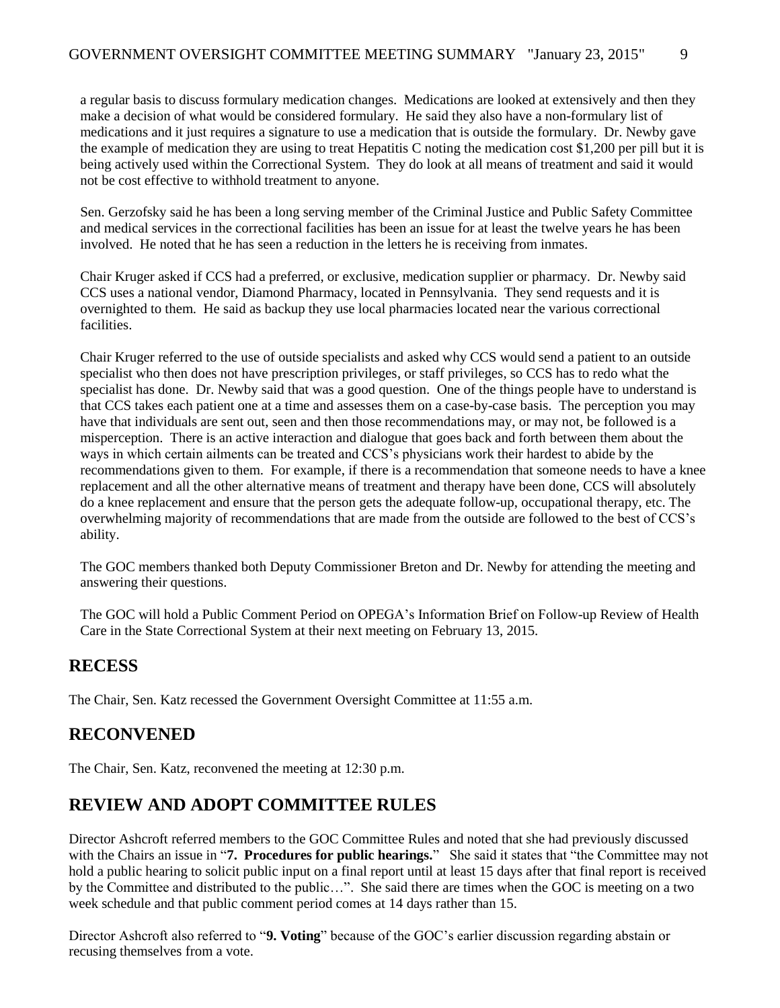a regular basis to discuss formulary medication changes. Medications are looked at extensively and then they make a decision of what would be considered formulary. He said they also have a non-formulary list of medications and it just requires a signature to use a medication that is outside the formulary. Dr. Newby gave the example of medication they are using to treat Hepatitis C noting the medication cost \$1,200 per pill but it is being actively used within the Correctional System. They do look at all means of treatment and said it would not be cost effective to withhold treatment to anyone.

Sen. Gerzofsky said he has been a long serving member of the Criminal Justice and Public Safety Committee and medical services in the correctional facilities has been an issue for at least the twelve years he has been involved. He noted that he has seen a reduction in the letters he is receiving from inmates.

Chair Kruger asked if CCS had a preferred, or exclusive, medication supplier or pharmacy. Dr. Newby said CCS uses a national vendor, Diamond Pharmacy, located in Pennsylvania. They send requests and it is overnighted to them. He said as backup they use local pharmacies located near the various correctional facilities.

Chair Kruger referred to the use of outside specialists and asked why CCS would send a patient to an outside specialist who then does not have prescription privileges, or staff privileges, so CCS has to redo what the specialist has done. Dr. Newby said that was a good question. One of the things people have to understand is that CCS takes each patient one at a time and assesses them on a case-by-case basis. The perception you may have that individuals are sent out, seen and then those recommendations may, or may not, be followed is a misperception. There is an active interaction and dialogue that goes back and forth between them about the ways in which certain ailments can be treated and CCS's physicians work their hardest to abide by the recommendations given to them. For example, if there is a recommendation that someone needs to have a knee replacement and all the other alternative means of treatment and therapy have been done, CCS will absolutely do a knee replacement and ensure that the person gets the adequate follow-up, occupational therapy, etc. The overwhelming majority of recommendations that are made from the outside are followed to the best of CCS's ability.

The GOC members thanked both Deputy Commissioner Breton and Dr. Newby for attending the meeting and answering their questions.

The GOC will hold a Public Comment Period on OPEGA's Information Brief on Follow-up Review of Health Care in the State Correctional System at their next meeting on February 13, 2015.

# **RECESS**

The Chair, Sen. Katz recessed the Government Oversight Committee at 11:55 a.m.

# **RECONVENED**

The Chair, Sen. Katz, reconvened the meeting at 12:30 p.m.

# **REVIEW AND ADOPT COMMITTEE RULES**

Director Ashcroft referred members to the GOC Committee Rules and noted that she had previously discussed with the Chairs an issue in "**7. Procedures for public hearings.**" She said it states that "the Committee may not hold a public hearing to solicit public input on a final report until at least 15 days after that final report is received by the Committee and distributed to the public…". She said there are times when the GOC is meeting on a two week schedule and that public comment period comes at 14 days rather than 15.

Director Ashcroft also referred to "**9. Voting**" because of the GOC's earlier discussion regarding abstain or recusing themselves from a vote.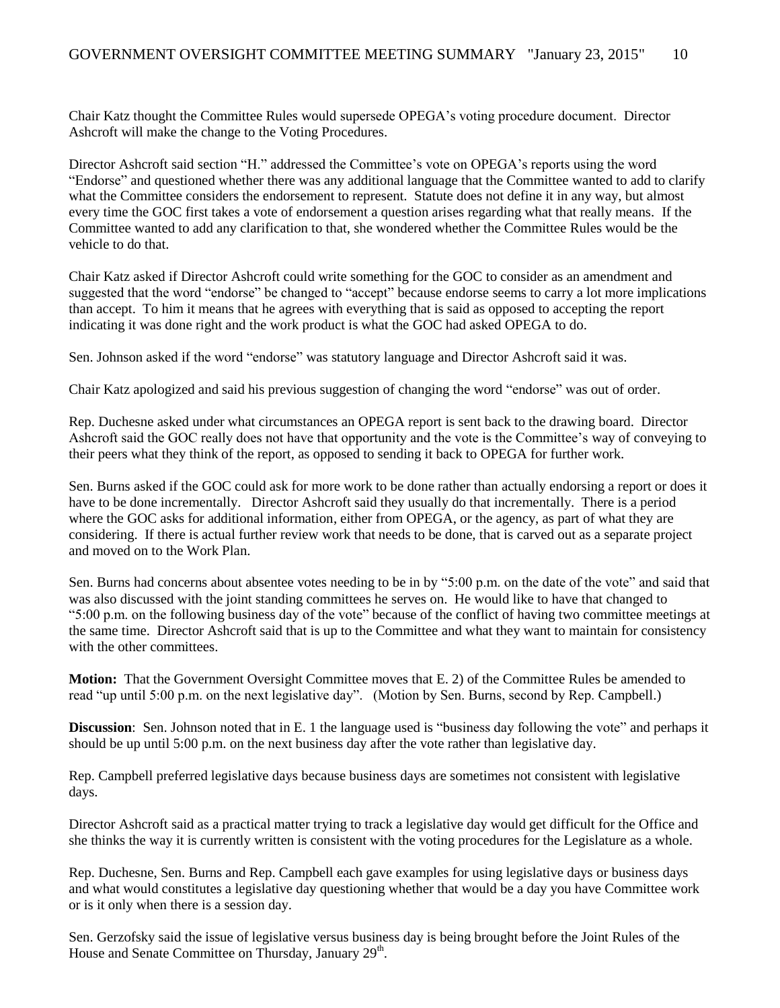Chair Katz thought the Committee Rules would supersede OPEGA's voting procedure document. Director Ashcroft will make the change to the Voting Procedures.

Director Ashcroft said section "H." addressed the Committee's vote on OPEGA's reports using the word "Endorse" and questioned whether there was any additional language that the Committee wanted to add to clarify what the Committee considers the endorsement to represent. Statute does not define it in any way, but almost every time the GOC first takes a vote of endorsement a question arises regarding what that really means. If the Committee wanted to add any clarification to that, she wondered whether the Committee Rules would be the vehicle to do that.

Chair Katz asked if Director Ashcroft could write something for the GOC to consider as an amendment and suggested that the word "endorse" be changed to "accept" because endorse seems to carry a lot more implications than accept. To him it means that he agrees with everything that is said as opposed to accepting the report indicating it was done right and the work product is what the GOC had asked OPEGA to do.

Sen. Johnson asked if the word "endorse" was statutory language and Director Ashcroft said it was.

Chair Katz apologized and said his previous suggestion of changing the word "endorse" was out of order.

Rep. Duchesne asked under what circumstances an OPEGA report is sent back to the drawing board. Director Ashcroft said the GOC really does not have that opportunity and the vote is the Committee's way of conveying to their peers what they think of the report, as opposed to sending it back to OPEGA for further work.

Sen. Burns asked if the GOC could ask for more work to be done rather than actually endorsing a report or does it have to be done incrementally. Director Ashcroft said they usually do that incrementally. There is a period where the GOC asks for additional information, either from OPEGA, or the agency, as part of what they are considering. If there is actual further review work that needs to be done, that is carved out as a separate project and moved on to the Work Plan.

Sen. Burns had concerns about absentee votes needing to be in by "5:00 p.m. on the date of the vote" and said that was also discussed with the joint standing committees he serves on. He would like to have that changed to "5:00 p.m. on the following business day of the vote" because of the conflict of having two committee meetings at the same time. Director Ashcroft said that is up to the Committee and what they want to maintain for consistency with the other committees.

**Motion:** That the Government Oversight Committee moves that E. 2) of the Committee Rules be amended to read "up until 5:00 p.m. on the next legislative day". (Motion by Sen. Burns, second by Rep. Campbell.)

**Discussion**: Sen. Johnson noted that in E. 1 the language used is "business day following the vote" and perhaps it should be up until 5:00 p.m. on the next business day after the vote rather than legislative day.

Rep. Campbell preferred legislative days because business days are sometimes not consistent with legislative days.

Director Ashcroft said as a practical matter trying to track a legislative day would get difficult for the Office and she thinks the way it is currently written is consistent with the voting procedures for the Legislature as a whole.

Rep. Duchesne, Sen. Burns and Rep. Campbell each gave examples for using legislative days or business days and what would constitutes a legislative day questioning whether that would be a day you have Committee work or is it only when there is a session day.

Sen. Gerzofsky said the issue of legislative versus business day is being brought before the Joint Rules of the House and Senate Committee on Thursday, January 29<sup>th</sup>.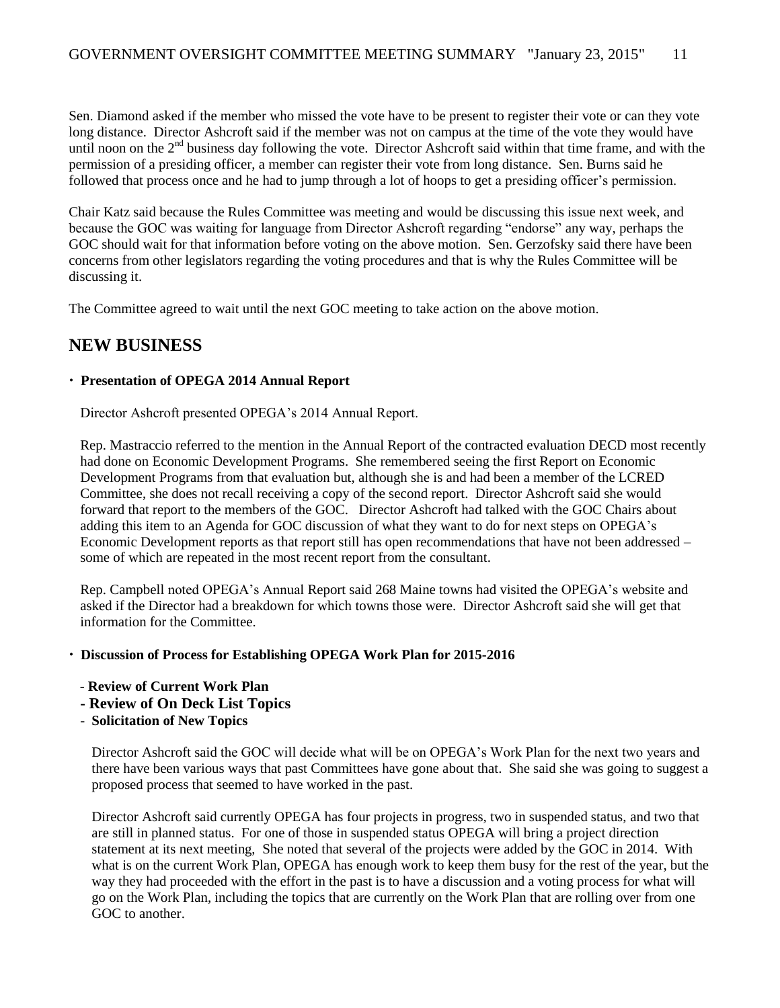Sen. Diamond asked if the member who missed the vote have to be present to register their vote or can they vote long distance. Director Ashcroft said if the member was not on campus at the time of the vote they would have until noon on the 2<sup>nd</sup> business day following the vote. Director Ashcroft said within that time frame, and with the permission of a presiding officer, a member can register their vote from long distance. Sen. Burns said he followed that process once and he had to jump through a lot of hoops to get a presiding officer's permission.

Chair Katz said because the Rules Committee was meeting and would be discussing this issue next week, and because the GOC was waiting for language from Director Ashcroft regarding "endorse" any way, perhaps the GOC should wait for that information before voting on the above motion. Sen. Gerzofsky said there have been concerns from other legislators regarding the voting procedures and that is why the Rules Committee will be discussing it.

The Committee agreed to wait until the next GOC meeting to take action on the above motion.

### **NEW BUSINESS**

### **Presentation of OPEGA 2014 Annual Report**

Director Ashcroft presented OPEGA's 2014 Annual Report.

Rep. Mastraccio referred to the mention in the Annual Report of the contracted evaluation DECD most recently had done on Economic Development Programs. She remembered seeing the first Report on Economic Development Programs from that evaluation but, although she is and had been a member of the LCRED Committee, she does not recall receiving a copy of the second report. Director Ashcroft said she would forward that report to the members of the GOC. Director Ashcroft had talked with the GOC Chairs about adding this item to an Agenda for GOC discussion of what they want to do for next steps on OPEGA's Economic Development reports as that report still has open recommendations that have not been addressed – some of which are repeated in the most recent report from the consultant.

Rep. Campbell noted OPEGA's Annual Report said 268 Maine towns had visited the OPEGA's website and asked if the Director had a breakdown for which towns those were. Director Ashcroft said she will get that information for the Committee.

#### **Discussion of Process for Establishing OPEGA Work Plan for 2015-2016**

- **Review of Current Work Plan**
- **- Review of On Deck List Topics**
- **Solicitation of New Topics**

Director Ashcroft said the GOC will decide what will be on OPEGA's Work Plan for the next two years and there have been various ways that past Committees have gone about that. She said she was going to suggest a proposed process that seemed to have worked in the past.

Director Ashcroft said currently OPEGA has four projects in progress, two in suspended status, and two that are still in planned status. For one of those in suspended status OPEGA will bring a project direction statement at its next meeting, She noted that several of the projects were added by the GOC in 2014. With what is on the current Work Plan, OPEGA has enough work to keep them busy for the rest of the year, but the way they had proceeded with the effort in the past is to have a discussion and a voting process for what will go on the Work Plan, including the topics that are currently on the Work Plan that are rolling over from one GOC to another.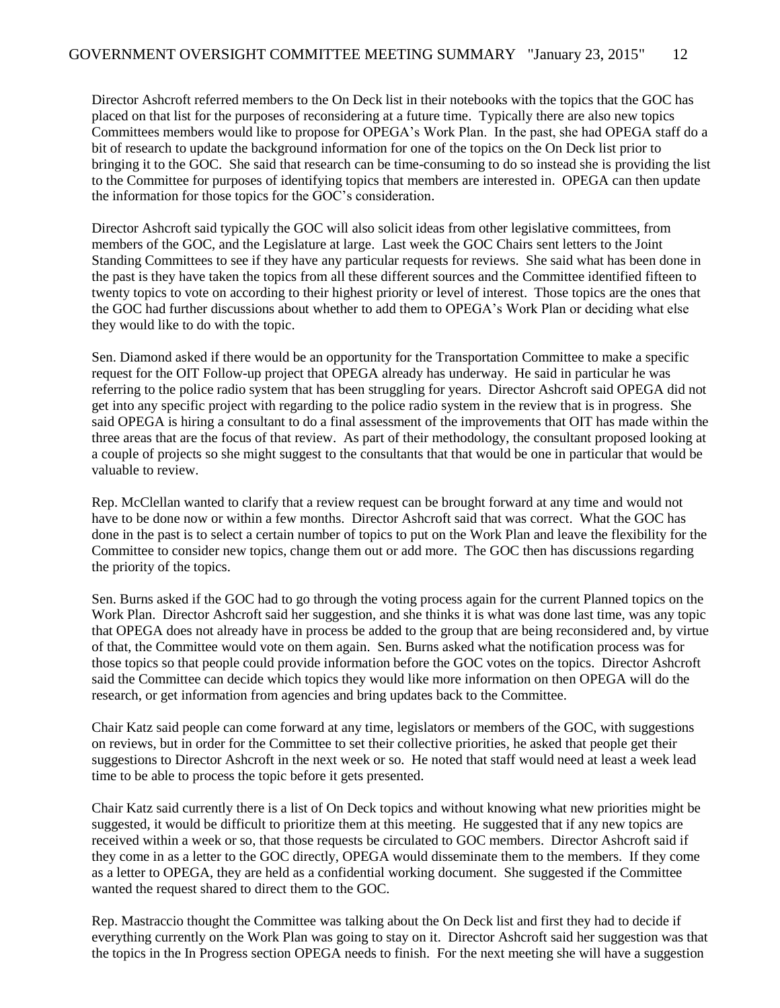Director Ashcroft referred members to the On Deck list in their notebooks with the topics that the GOC has placed on that list for the purposes of reconsidering at a future time. Typically there are also new topics Committees members would like to propose for OPEGA's Work Plan. In the past, she had OPEGA staff do a bit of research to update the background information for one of the topics on the On Deck list prior to bringing it to the GOC. She said that research can be time-consuming to do so instead she is providing the list to the Committee for purposes of identifying topics that members are interested in. OPEGA can then update the information for those topics for the GOC's consideration.

Director Ashcroft said typically the GOC will also solicit ideas from other legislative committees, from members of the GOC, and the Legislature at large. Last week the GOC Chairs sent letters to the Joint Standing Committees to see if they have any particular requests for reviews. She said what has been done in the past is they have taken the topics from all these different sources and the Committee identified fifteen to twenty topics to vote on according to their highest priority or level of interest. Those topics are the ones that the GOC had further discussions about whether to add them to OPEGA's Work Plan or deciding what else they would like to do with the topic.

Sen. Diamond asked if there would be an opportunity for the Transportation Committee to make a specific request for the OIT Follow-up project that OPEGA already has underway. He said in particular he was referring to the police radio system that has been struggling for years. Director Ashcroft said OPEGA did not get into any specific project with regarding to the police radio system in the review that is in progress. She said OPEGA is hiring a consultant to do a final assessment of the improvements that OIT has made within the three areas that are the focus of that review. As part of their methodology, the consultant proposed looking at a couple of projects so she might suggest to the consultants that that would be one in particular that would be valuable to review.

Rep. McClellan wanted to clarify that a review request can be brought forward at any time and would not have to be done now or within a few months. Director Ashcroft said that was correct. What the GOC has done in the past is to select a certain number of topics to put on the Work Plan and leave the flexibility for the Committee to consider new topics, change them out or add more. The GOC then has discussions regarding the priority of the topics.

Sen. Burns asked if the GOC had to go through the voting process again for the current Planned topics on the Work Plan. Director Ashcroft said her suggestion, and she thinks it is what was done last time, was any topic that OPEGA does not already have in process be added to the group that are being reconsidered and, by virtue of that, the Committee would vote on them again. Sen. Burns asked what the notification process was for those topics so that people could provide information before the GOC votes on the topics. Director Ashcroft said the Committee can decide which topics they would like more information on then OPEGA will do the research, or get information from agencies and bring updates back to the Committee.

Chair Katz said people can come forward at any time, legislators or members of the GOC, with suggestions on reviews, but in order for the Committee to set their collective priorities, he asked that people get their suggestions to Director Ashcroft in the next week or so. He noted that staff would need at least a week lead time to be able to process the topic before it gets presented.

Chair Katz said currently there is a list of On Deck topics and without knowing what new priorities might be suggested, it would be difficult to prioritize them at this meeting. He suggested that if any new topics are received within a week or so, that those requests be circulated to GOC members. Director Ashcroft said if they come in as a letter to the GOC directly, OPEGA would disseminate them to the members. If they come as a letter to OPEGA, they are held as a confidential working document. She suggested if the Committee wanted the request shared to direct them to the GOC.

Rep. Mastraccio thought the Committee was talking about the On Deck list and first they had to decide if everything currently on the Work Plan was going to stay on it. Director Ashcroft said her suggestion was that the topics in the In Progress section OPEGA needs to finish. For the next meeting she will have a suggestion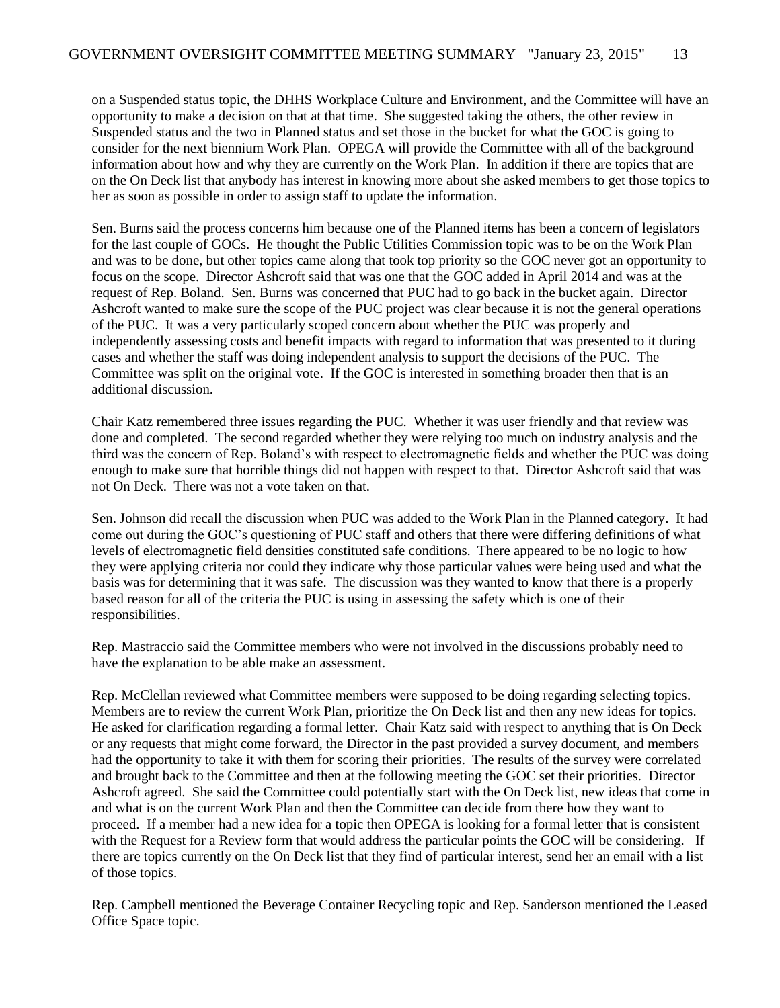on a Suspended status topic, the DHHS Workplace Culture and Environment, and the Committee will have an opportunity to make a decision on that at that time. She suggested taking the others, the other review in Suspended status and the two in Planned status and set those in the bucket for what the GOC is going to consider for the next biennium Work Plan. OPEGA will provide the Committee with all of the background information about how and why they are currently on the Work Plan. In addition if there are topics that are on the On Deck list that anybody has interest in knowing more about she asked members to get those topics to her as soon as possible in order to assign staff to update the information.

Sen. Burns said the process concerns him because one of the Planned items has been a concern of legislators for the last couple of GOCs. He thought the Public Utilities Commission topic was to be on the Work Plan and was to be done, but other topics came along that took top priority so the GOC never got an opportunity to focus on the scope. Director Ashcroft said that was one that the GOC added in April 2014 and was at the request of Rep. Boland. Sen. Burns was concerned that PUC had to go back in the bucket again. Director Ashcroft wanted to make sure the scope of the PUC project was clear because it is not the general operations of the PUC. It was a very particularly scoped concern about whether the PUC was properly and independently assessing costs and benefit impacts with regard to information that was presented to it during cases and whether the staff was doing independent analysis to support the decisions of the PUC. The Committee was split on the original vote. If the GOC is interested in something broader then that is an additional discussion.

Chair Katz remembered three issues regarding the PUC. Whether it was user friendly and that review was done and completed. The second regarded whether they were relying too much on industry analysis and the third was the concern of Rep. Boland's with respect to electromagnetic fields and whether the PUC was doing enough to make sure that horrible things did not happen with respect to that. Director Ashcroft said that was not On Deck. There was not a vote taken on that.

Sen. Johnson did recall the discussion when PUC was added to the Work Plan in the Planned category. It had come out during the GOC's questioning of PUC staff and others that there were differing definitions of what levels of electromagnetic field densities constituted safe conditions. There appeared to be no logic to how they were applying criteria nor could they indicate why those particular values were being used and what the basis was for determining that it was safe. The discussion was they wanted to know that there is a properly based reason for all of the criteria the PUC is using in assessing the safety which is one of their responsibilities.

Rep. Mastraccio said the Committee members who were not involved in the discussions probably need to have the explanation to be able make an assessment.

Rep. McClellan reviewed what Committee members were supposed to be doing regarding selecting topics. Members are to review the current Work Plan, prioritize the On Deck list and then any new ideas for topics. He asked for clarification regarding a formal letter. Chair Katz said with respect to anything that is On Deck or any requests that might come forward, the Director in the past provided a survey document, and members had the opportunity to take it with them for scoring their priorities. The results of the survey were correlated and brought back to the Committee and then at the following meeting the GOC set their priorities. Director Ashcroft agreed. She said the Committee could potentially start with the On Deck list, new ideas that come in and what is on the current Work Plan and then the Committee can decide from there how they want to proceed. If a member had a new idea for a topic then OPEGA is looking for a formal letter that is consistent with the Request for a Review form that would address the particular points the GOC will be considering. If there are topics currently on the On Deck list that they find of particular interest, send her an email with a list of those topics.

Rep. Campbell mentioned the Beverage Container Recycling topic and Rep. Sanderson mentioned the Leased Office Space topic.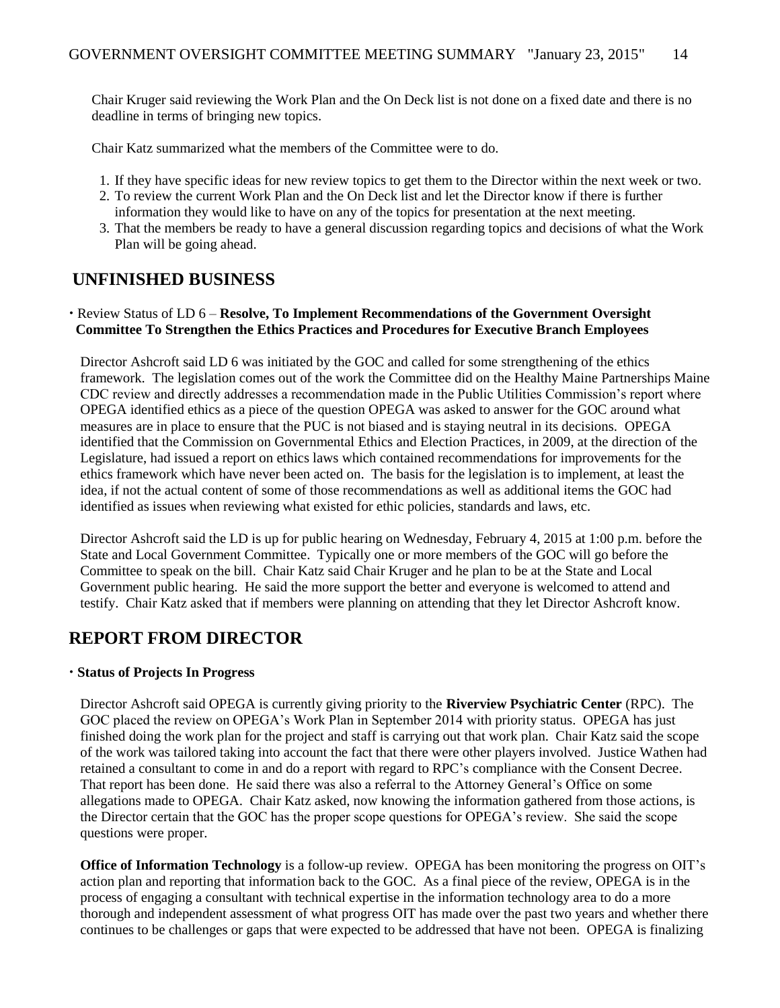Chair Kruger said reviewing the Work Plan and the On Deck list is not done on a fixed date and there is no deadline in terms of bringing new topics.

Chair Katz summarized what the members of the Committee were to do.

- 1. If they have specific ideas for new review topics to get them to the Director within the next week or two.
- 2. To review the current Work Plan and the On Deck list and let the Director know if there is further information they would like to have on any of the topics for presentation at the next meeting.
- 3. That the members be ready to have a general discussion regarding topics and decisions of what the Work Plan will be going ahead.

### **UNFINISHED BUSINESS**

#### Review Status of LD 6 – **Resolve, To Implement Recommendations of the Government Oversight Committee To Strengthen the Ethics Practices and Procedures for Executive Branch Employees**

Director Ashcroft said LD 6 was initiated by the GOC and called for some strengthening of the ethics framework. The legislation comes out of the work the Committee did on the Healthy Maine Partnerships Maine CDC review and directly addresses a recommendation made in the Public Utilities Commission's report where OPEGA identified ethics as a piece of the question OPEGA was asked to answer for the GOC around what measures are in place to ensure that the PUC is not biased and is staying neutral in its decisions. OPEGA identified that the Commission on Governmental Ethics and Election Practices, in 2009, at the direction of the Legislature, had issued a report on ethics laws which contained recommendations for improvements for the ethics framework which have never been acted on. The basis for the legislation is to implement, at least the idea, if not the actual content of some of those recommendations as well as additional items the GOC had identified as issues when reviewing what existed for ethic policies, standards and laws, etc.

Director Ashcroft said the LD is up for public hearing on Wednesday, February 4, 2015 at 1:00 p.m. before the State and Local Government Committee. Typically one or more members of the GOC will go before the Committee to speak on the bill. Chair Katz said Chair Kruger and he plan to be at the State and Local Government public hearing. He said the more support the better and everyone is welcomed to attend and testify. Chair Katz asked that if members were planning on attending that they let Director Ashcroft know.

### **REPORT FROM DIRECTOR**

#### **Status of Projects In Progress**

Director Ashcroft said OPEGA is currently giving priority to the **Riverview Psychiatric Center** (RPC). The GOC placed the review on OPEGA's Work Plan in September 2014 with priority status. OPEGA has just finished doing the work plan for the project and staff is carrying out that work plan. Chair Katz said the scope of the work was tailored taking into account the fact that there were other players involved. Justice Wathen had retained a consultant to come in and do a report with regard to RPC's compliance with the Consent Decree. That report has been done. He said there was also a referral to the Attorney General's Office on some allegations made to OPEGA. Chair Katz asked, now knowing the information gathered from those actions, is the Director certain that the GOC has the proper scope questions for OPEGA's review. She said the scope questions were proper.

**Office of Information Technology** is a follow-up review. OPEGA has been monitoring the progress on OIT's action plan and reporting that information back to the GOC. As a final piece of the review, OPEGA is in the process of engaging a consultant with technical expertise in the information technology area to do a more thorough and independent assessment of what progress OIT has made over the past two years and whether there continues to be challenges or gaps that were expected to be addressed that have not been. OPEGA is finalizing